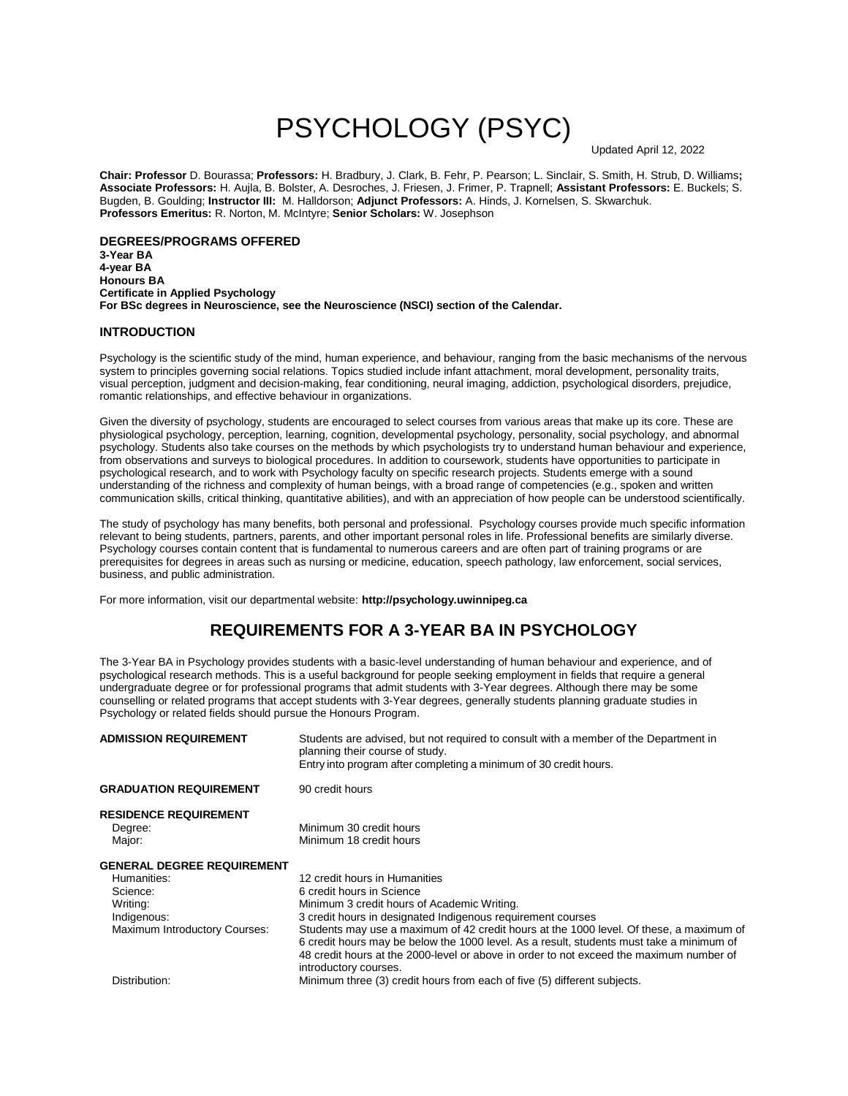# PSYCHOLOGY (PSYC)

Updated April 12, 2022

**Chair: Professor** D. Bourassa; **Professors:** H. Bradbury, J. Clark, B. Fehr, P. Pearson; L. Sinclair, S. Smith, H. Strub, D. Williams**; Associate Professors:** H. Aujla, B. Bolster, A. Desroches, J. Friesen, J. Frimer, P. Trapnell; **Assistant Professors:** E. Buckels; S. Bugden, B. Goulding; **Instructor III:** M. Halldorson; **Adjunct Professors:** A. Hinds, J. Kornelsen, S. Skwarchuk. **Professors Emeritus:** R. Norton, M. McIntyre; **Senior Scholars:** W. Josephson

**DEGREES/PROGRAMS OFFERED 3-Year BA 4-year BA Honours BA Certificate in Applied Psychology For BSc degrees in Neuroscience, see the Neuroscience (NSCI) section of the Calendar.** 

### **INTRODUCTION**

Psychology is the scientific study of the mind, human experience, and behaviour, ranging from the basic mechanisms of the nervous system to principles governing social relations. Topics studied include infant attachment, moral development, personality traits, visual perception, judgment and decision-making, fear conditioning, neural imaging, addiction, psychological disorders, prejudice, romantic relationships, and effective behaviour in organizations.

Given the diversity of psychology, students are encouraged to select courses from various areas that make up its core. These are physiological psychology, perception, learning, cognition, developmental psychology, personality, social psychology, and abnormal psychology. Students also take courses on the methods by which psychologists try to understand human behaviour and experience, from observations and surveys to biological procedures. In addition to coursework, students have opportunities to participate in psychological research, and to work with Psychology faculty on specific research projects. Students emerge with a sound understanding of the richness and complexity of human beings, with a broad range of competencies (e.g., spoken and written communication skills, critical thinking, quantitative abilities), and with an appreciation of how people can be understood scientifically.

The study of psychology has many benefits, both personal and professional. Psychology courses provide much specific information relevant to being students, partners, parents, and other important personal roles in life. Professional benefits are similarly diverse. Psychology courses contain content that is fundamental to numerous careers and are often part of training programs or are prerequisites for degrees in areas such as nursing or medicine, education, speech pathology, law enforcement, social services, business, and public administration.

For more information, visit our departmental website: **http://psychology.uwinnipeg.ca**

### **REQUIREMENTS FOR A 3-YEAR BA IN PSYCHOLOGY**

The 3-Year BA in Psychology provides students with a basic-level understanding of human behaviour and experience, and of psychological research methods. This is a useful background for people seeking employment in fields that require a general undergraduate degree or for professional programs that admit students with 3-Year degrees. Although there may be some counselling or related programs that accept students with 3-Year degrees, generally students planning graduate studies in Psychology or related fields should pursue the Honours Program.

| <b>ADMISSION REQUIREMENT</b>      | Students are advised, but not required to consult with a member of the Department in<br>planning their course of study. |
|-----------------------------------|-------------------------------------------------------------------------------------------------------------------------|
|                                   | Entry into program after completing a minimum of 30 credit hours.                                                       |
| <b>GRADUATION REQUIREMENT</b>     | 90 credit hours                                                                                                         |
| <b>RESIDENCE REQUIREMENT</b>      |                                                                                                                         |
| Degree:                           | Minimum 30 credit hours                                                                                                 |
| Major:                            | Minimum 18 credit hours                                                                                                 |
| <b>GENERAL DEGREE REQUIREMENT</b> |                                                                                                                         |
| Humanities:                       | 12 credit hours in Humanities                                                                                           |
| Science:                          | 6 credit hours in Science                                                                                               |
| Writing:                          | Minimum 3 credit hours of Academic Writing.                                                                             |
| Indigenous:                       | 3 credit hours in designated Indigenous requirement courses                                                             |
| Maximum Introductory Courses:     | Students may use a maximum of 42 credit hours at the 1000 level. Of these, a maximum of                                 |
|                                   | 6 credit hours may be below the 1000 level. As a result, students must take a minimum of                                |
|                                   | 48 credit hours at the 2000-level or above in order to not exceed the maximum number of                                 |
|                                   | introductory courses.                                                                                                   |
| Distribution:                     | Minimum three (3) credit hours from each of five (5) different subjects.                                                |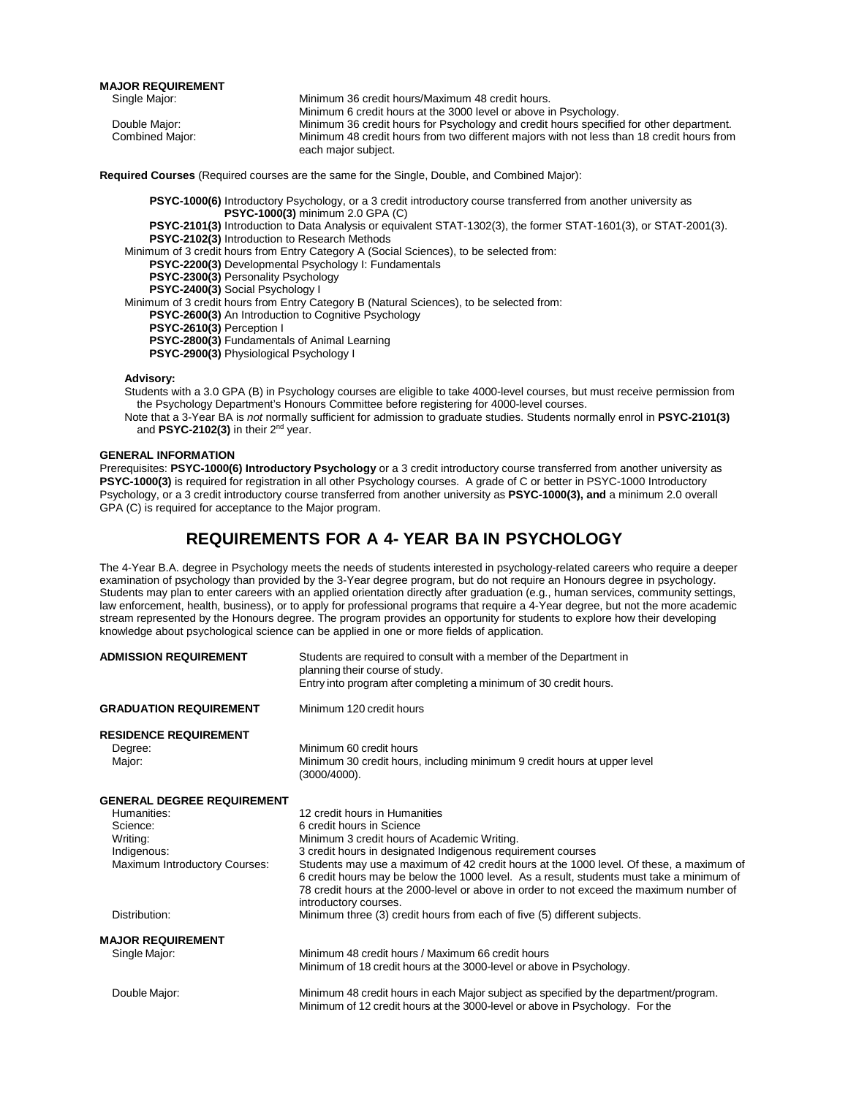**MAJOR REQUIREMENT**

| Single Major:   | Minimum 36 credit hours/Maximum 48 credit hours.                                          |
|-----------------|-------------------------------------------------------------------------------------------|
|                 | Minimum 6 credit hours at the 3000 level or above in Psychology.                          |
| Double Major:   | Minimum 36 credit hours for Psychology and credit hours specified for other department.   |
| Combined Major: | Minimum 48 credit hours from two different majors with not less than 18 credit hours from |
|                 | each major subject.                                                                       |

**Required Courses** (Required courses are the same for the Single, Double, and Combined Major):

**PSYC-1000(6)** Introductory Psychology, or a 3 credit introductory course transferred from another university as **PSYC-1000(3)** minimum 2.0 GPA (C) **PSYC-2101(3)** Introduction to Data Analysis or equivalent STAT-1302(3), the former STAT-1601(3), or STAT-2001(3). **PSYC-2102(3)** Introduction to Research Methods Minimum of 3 credit hours from Entry Category A (Social Sciences), to be selected from: **PSYC-2200(3)** Developmental Psychology I: Fundamentals **PSYC-2300(3)** Personality Psychology **PSYC-2400(3)** Social Psychology I Minimum of 3 credit hours from Entry Category B (Natural Sciences), to be selected from: **PSYC-2600(3)** An Introduction to Cognitive Psychology **PSYC-2610(3)** Perception I **PSYC-2800(3)** Fundamentals of Animal Learning **PSYC-2900(3)** Physiological Psychology I

### **Advisory:**

- Students with a 3.0 GPA (B) in Psychology courses are eligible to take 4000-level courses, but must receive permission from the Psychology Department's Honours Committee before registering for 4000-level courses.
- Note that a 3-Year BA is *not* normally sufficient for admission to graduate studies. Students normally enrol in **PSYC-2101(3)** and **PSYC-2102(3)** in their 2nd year.

#### **GENERAL INFORMATION**

Prerequisites: **PSYC-1000(6) Introductory Psychology** or a 3 credit introductory course transferred from another university as **PSYC-1000(3)** is required for registration in all other Psychology courses. A grade of C or better in PSYC-1000 Introductory Psychology, or a 3 credit introductory course transferred from another university as **PSYC-1000(3), and** a minimum 2.0 overall GPA (C) is required for acceptance to the Major program.

### **REQUIREMENTS FOR A 4- YEAR BA IN PSYCHOLOGY**

The 4-Year B.A. degree in Psychology meets the needs of students interested in psychology-related careers who require a deeper examination of psychology than provided by the 3-Year degree program, but do not require an Honours degree in psychology. Students may plan to enter careers with an applied orientation directly after graduation (e.g., human services, community settings, law enforcement, health, business), or to apply for professional programs that require a 4-Year degree, but not the more academic stream represented by the Honours degree. The program provides an opportunity for students to explore how their developing knowledge about psychological science can be applied in one or more fields of application.

| <b>ADMISSION REQUIREMENT</b>                      | Students are required to consult with a member of the Department in<br>planning their course of study.<br>Entry into program after completing a minimum of 30 credit hours.                                                                                                                             |
|---------------------------------------------------|---------------------------------------------------------------------------------------------------------------------------------------------------------------------------------------------------------------------------------------------------------------------------------------------------------|
| <b>GRADUATION REQUIREMENT</b>                     | Minimum 120 credit hours                                                                                                                                                                                                                                                                                |
| <b>RESIDENCE REQUIREMENT</b><br>Degree:<br>Major: | Minimum 60 credit hours<br>Minimum 30 credit hours, including minimum 9 credit hours at upper level<br>$(3000/4000)$ .                                                                                                                                                                                  |
| <b>GENERAL DEGREE REQUIREMENT</b>                 |                                                                                                                                                                                                                                                                                                         |
| Humanities:                                       | 12 credit hours in Humanities                                                                                                                                                                                                                                                                           |
| Science:                                          | 6 credit hours in Science                                                                                                                                                                                                                                                                               |
| Writing:                                          | Minimum 3 credit hours of Academic Writing.                                                                                                                                                                                                                                                             |
| Indigenous:                                       | 3 credit hours in designated Indigenous requirement courses                                                                                                                                                                                                                                             |
| Maximum Introductory Courses:                     | Students may use a maximum of 42 credit hours at the 1000 level. Of these, a maximum of<br>6 credit hours may be below the 1000 level. As a result, students must take a minimum of<br>78 credit hours at the 2000-level or above in order to not exceed the maximum number of<br>introductory courses. |
| Distribution:                                     | Minimum three (3) credit hours from each of five (5) different subjects.                                                                                                                                                                                                                                |
| <b>MAJOR REQUIREMENT</b>                          |                                                                                                                                                                                                                                                                                                         |
| Single Major:                                     | Minimum 48 credit hours / Maximum 66 credit hours                                                                                                                                                                                                                                                       |
|                                                   | Minimum of 18 credit hours at the 3000-level or above in Psychology.                                                                                                                                                                                                                                    |
| Double Major:                                     | Minimum 48 credit hours in each Major subject as specified by the department/program.<br>Minimum of 12 credit hours at the 3000-level or above in Psychology. For the                                                                                                                                   |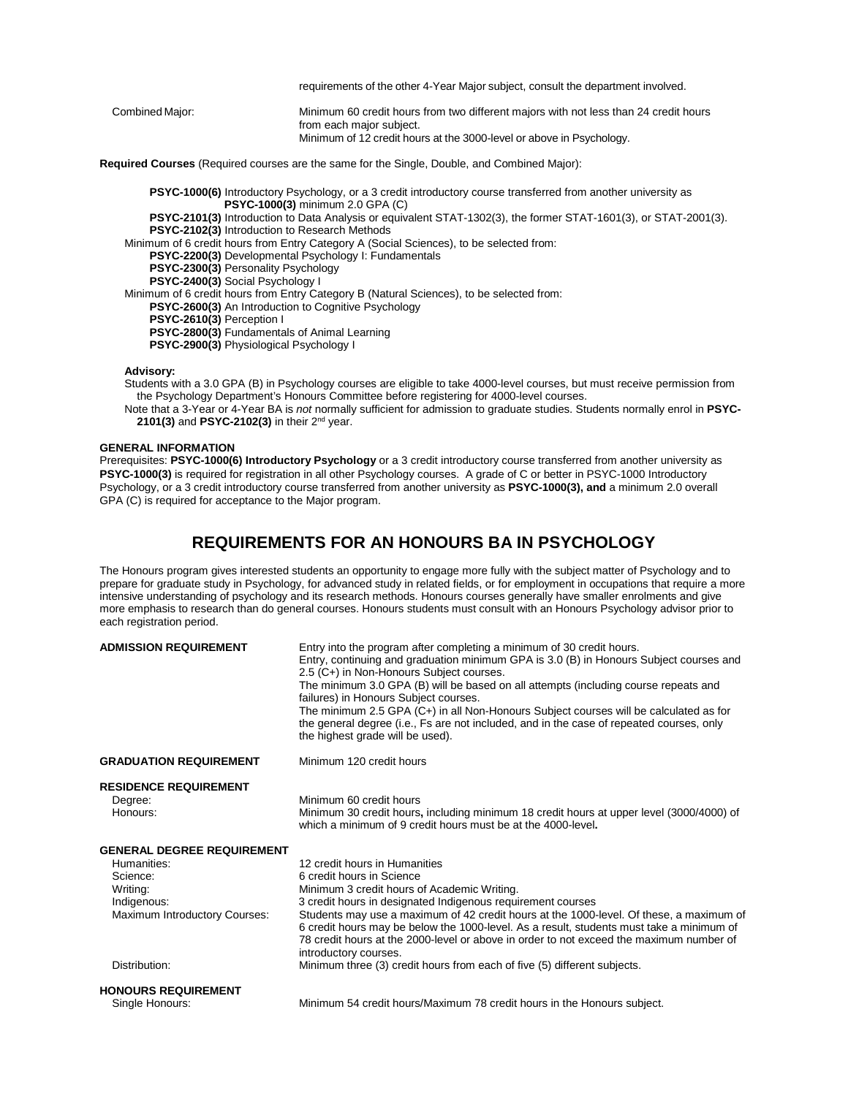|                 | requirements of the other 4-Year Major subject, consult the department involved.                                                                                                         |
|-----------------|------------------------------------------------------------------------------------------------------------------------------------------------------------------------------------------|
| Combined Major: | Minimum 60 credit hours from two different majors with not less than 24 credit hours<br>from each major subject.<br>Minimum of 12 credit hours at the 3000-level or above in Psychology. |

**Required Courses** (Required courses are the same for the Single, Double, and Combined Major):

**PSYC-1000(6)** Introductory Psychology, or a 3 credit introductory course transferred from another university as **PSYC-1000(3)** minimum 2.0 GPA (C)

**PSYC-2101(3)** Introduction to Data Analysis or equivalent STAT-1302(3), the former STAT-1601(3), or STAT-2001(3). **PSYC-2102(3)** Introduction to Research Methods

Minimum of 6 credit hours from Entry Category A (Social Sciences), to be selected from:

**PSYC-2200(3)** Developmental Psychology I: Fundamentals

**PSYC-2300(3)** Personality Psychology

**PSYC-2400(3)** Social Psychology I

Minimum of 6 credit hours from Entry Category B (Natural Sciences), to be selected from:

**PSYC-2600(3)** An Introduction to Cognitive Psychology

**PSYC-2610(3)** Perception I

**PSYC-2800(3)** Fundamentals of Animal Learning

**PSYC-2900(3)** Physiological Psychology I

#### **Advisory:**

- Students with a 3.0 GPA (B) in Psychology courses are eligible to take 4000-level courses, but must receive permission from the Psychology Department's Honours Committee before registering for 4000-level courses.
- Note that a 3-Year or 4-Year BA is *not* normally sufficient for admission to graduate studies. Students normally enrol in **PSYC-2101(3)** and **PSYC-2102(3)** in their 2nd year.

### **GENERAL INFORMATION**

Prerequisites: **PSYC-1000(6) Introductory Psychology** or a 3 credit introductory course transferred from another university as PSYC-1000(3) is required for registration in all other Psychology courses. A grade of C or better in PSYC-1000 Introductory Psychology, or a 3 credit introductory course transferred from another university as **PSYC-1000(3), and** a minimum 2.0 overall GPA (C) is required for acceptance to the Major program.

### **REQUIREMENTS FOR AN HONOURS BA IN PSYCHOLOGY**

The Honours program gives interested students an opportunity to engage more fully with the subject matter of Psychology and to prepare for graduate study in Psychology, for advanced study in related fields, or for employment in occupations that require a more intensive understanding of psychology and its research methods. Honours courses generally have smaller enrolments and give more emphasis to research than do general courses. Honours students must consult with an Honours Psychology advisor prior to each registration period.

| <b>ADMISSION REQUIREMENT</b>                                                                                                              | Entry into the program after completing a minimum of 30 credit hours.<br>Entry, continuing and graduation minimum GPA is 3.0 (B) in Honours Subject courses and<br>2.5 (C+) in Non-Honours Subject courses.<br>The minimum 3.0 GPA (B) will be based on all attempts (including course repeats and<br>failures) in Honours Subject courses.<br>The minimum 2.5 GPA (C+) in all Non-Honours Subject courses will be calculated as for<br>the general degree (i.e., Fs are not included, and in the case of repeated courses, only<br>the highest grade will be used). |
|-------------------------------------------------------------------------------------------------------------------------------------------|----------------------------------------------------------------------------------------------------------------------------------------------------------------------------------------------------------------------------------------------------------------------------------------------------------------------------------------------------------------------------------------------------------------------------------------------------------------------------------------------------------------------------------------------------------------------|
| <b>GRADUATION REQUIREMENT</b>                                                                                                             | Minimum 120 credit hours                                                                                                                                                                                                                                                                                                                                                                                                                                                                                                                                             |
| <b>RESIDENCE REQUIREMENT</b><br>Degree:<br>Honours:                                                                                       | Minimum 60 credit hours<br>Minimum 30 credit hours, including minimum 18 credit hours at upper level (3000/4000) of<br>which a minimum of 9 credit hours must be at the 4000-level.                                                                                                                                                                                                                                                                                                                                                                                  |
| <b>GENERAL DEGREE REQUIREMENT</b><br>Humanities:<br>Science:<br>Writing:<br>Indigenous:<br>Maximum Introductory Courses:<br>Distribution: | 12 credit hours in Humanities<br>6 credit hours in Science<br>Minimum 3 credit hours of Academic Writing.<br>3 credit hours in designated Indigenous requirement courses<br>Students may use a maximum of 42 credit hours at the 1000-level. Of these, a maximum of<br>6 credit hours may be below the 1000-level. As a result, students must take a minimum of<br>78 credit hours at the 2000-level or above in order to not exceed the maximum number of<br>introductory courses.<br>Minimum three (3) credit hours from each of five (5) different subjects.      |
| <b>HONOURS REQUIREMENT</b>                                                                                                                |                                                                                                                                                                                                                                                                                                                                                                                                                                                                                                                                                                      |
| Single Honours:                                                                                                                           | Minimum 54 credit hours/Maximum 78 credit hours in the Honours subject.                                                                                                                                                                                                                                                                                                                                                                                                                                                                                              |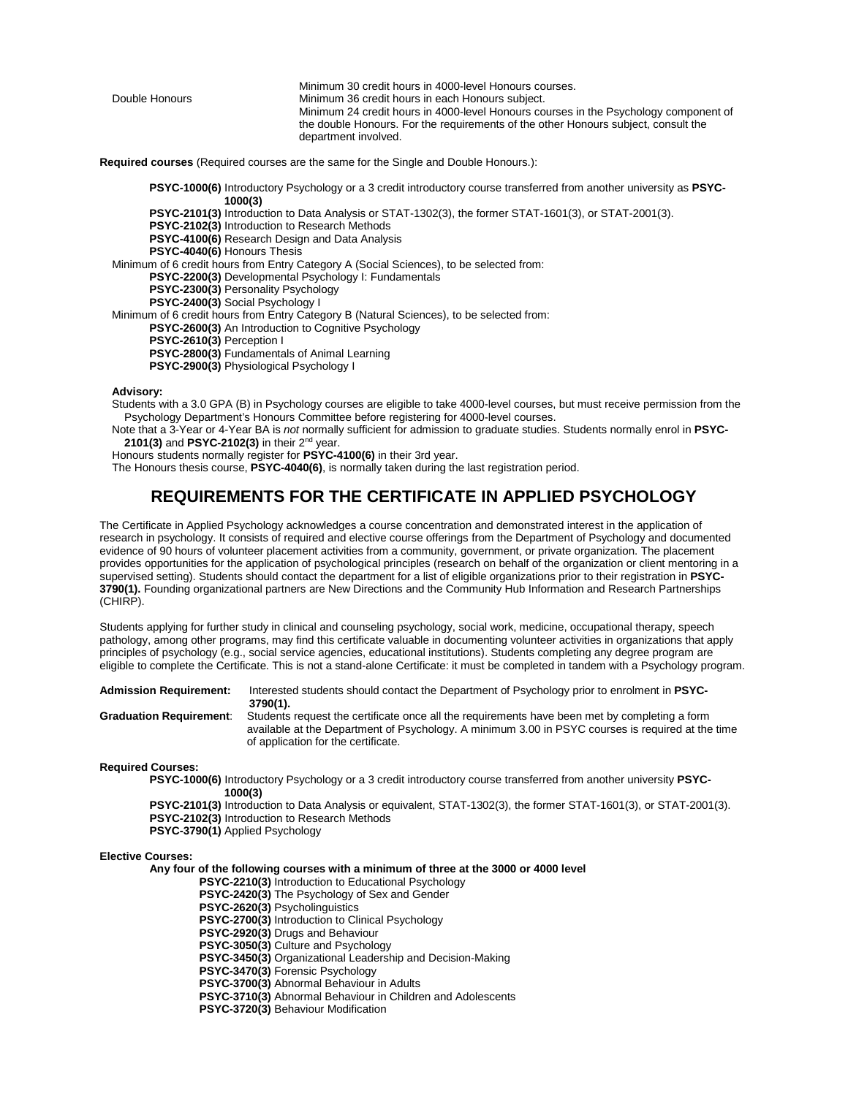Minimum 30 credit hours in 4000-level Honours courses.<br>Double Honours **Minimum 36 credit hours in each Honours** subject. Minimum 36 credit hours in each Honours subject. Minimum 24 credit hours in 4000-level Honours courses in the Psychology component of the double Honours. For the requirements of the other Honours subject, consult the department involved.

**Required courses** (Required courses are the same for the Single and Double Honours.):

**PSYC-1000(6)** Introductory Psychology or a 3 credit introductory course transferred from another university as **PSYC-1000(3)**

**PSYC-2101(3)** Introduction to Data Analysis or STAT-1302(3), the former STAT-1601(3), or STAT-2001(3).

**PSYC-2102(3)** Introduction to Research Methods

**PSYC-4100(6)** Research Design and Data Analysis

**PSYC-4040(6)** Honours Thesis

Minimum of 6 credit hours from Entry Category A (Social Sciences), to be selected from:

**PSYC-2200(3)** Developmental Psychology I: Fundamentals

**PSYC-2300(3)** Personality Psychology

**PSYC-2400(3)** Social Psychology I

Minimum of 6 credit hours from Entry Category B (Natural Sciences), to be selected from:

**PSYC-2600(3)** An Introduction to Cognitive Psychology

**PSYC-2610(3)** Perception I

**PSYC-2800(3)** Fundamentals of Animal Learning

**PSYC-2900(3)** Physiological Psychology I

#### **Advisory:**

Students with a 3.0 GPA (B) in Psychology courses are eligible to take 4000-level courses, but must receive permission from the Psychology Department's Honours Committee before registering for 4000-level courses.

Note that a 3-Year or 4-Year BA is *not* normally sufficient for admission to graduate studies. Students normally enrol in **PSYC-2101(3)** and **PSYC-2102(3)** in their 2nd year.

Honours students normally register for **PSYC-4100(6)** in their 3rd year.

The Honours thesis course, **PSYC-4040(6)**, is normally taken during the last registration period.

### **REQUIREMENTS FOR THE CERTIFICATE IN APPLIED PSYCHOLOGY**

The Certificate in Applied Psychology acknowledges a course concentration and demonstrated interest in the application of research in psychology. It consists of required and elective course offerings from the Department of Psychology and documented evidence of 90 hours of volunteer placement activities from a community, government, or private organization. The placement provides opportunities for the application of psychological principles (research on behalf of the organization or client mentoring in a supervised setting). Students should contact the department for a list of eligible organizations prior to their registration in **PSYC-3790(1).** Founding organizational partners are New Directions and the Community Hub Information and Research Partnerships (CHIRP).

Students applying for further study in clinical and counseling psychology, social work, medicine, occupational therapy, speech pathology, among other programs, may find this certificate valuable in documenting volunteer activities in organizations that apply principles of psychology (e.g., social service agencies, educational institutions). Students completing any degree program are eligible to complete the Certificate. This is not a stand-alone Certificate: it must be completed in tandem with a Psychology program.

**Admission Requirement:** Interested students should contact the Department of Psychology prior to enrolment in **PSYC-3790(1). Graduation Requirement**: Students request the certificate once all the requirements have been met by completing a form

available at the Department of Psychology. A minimum 3.00 in PSYC courses is required at the time of application for the certificate.

### **Required Courses:**

**PSYC-1000(6)** Introductory Psychology or a 3 credit introductory course transferred from another university **PSYC-1000(3)**

**PSYC-2101(3)** Introduction to Data Analysis or equivalent, STAT-1302(3), the former STAT-1601(3), or STAT-2001(3). **PSYC-2102(3)** Introduction to Research Methods

### **PSYC-3790(1)** Applied Psychology

### **Elective Courses:**

**Any four of the following courses with a minimum of three at the 3000 or 4000 level**

**PSYC-2210(3)** Introduction to Educational Psychology

**PSYC-2420(3)** The Psychology of Sex and Gender

 **PSYC-2620(3)** Psycholinguistics

**PSYC-2700(3)** Introduction to Clinical Psychology

**PSYC-2920(3)** Drugs and Behaviour

 **PSYC-3050(3)** Culture and Psychology

 **PSYC-3450(3)** Organizational Leadership and Decision-Making

**PSYC-3470(3)** Forensic Psychology

 **PSYC-3700(3)** Abnormal Behaviour in Adults

 **PSYC-3710(3)** Abnormal Behaviour in Children and Adolescents

 **PSYC-3720(3)** Behaviour Modification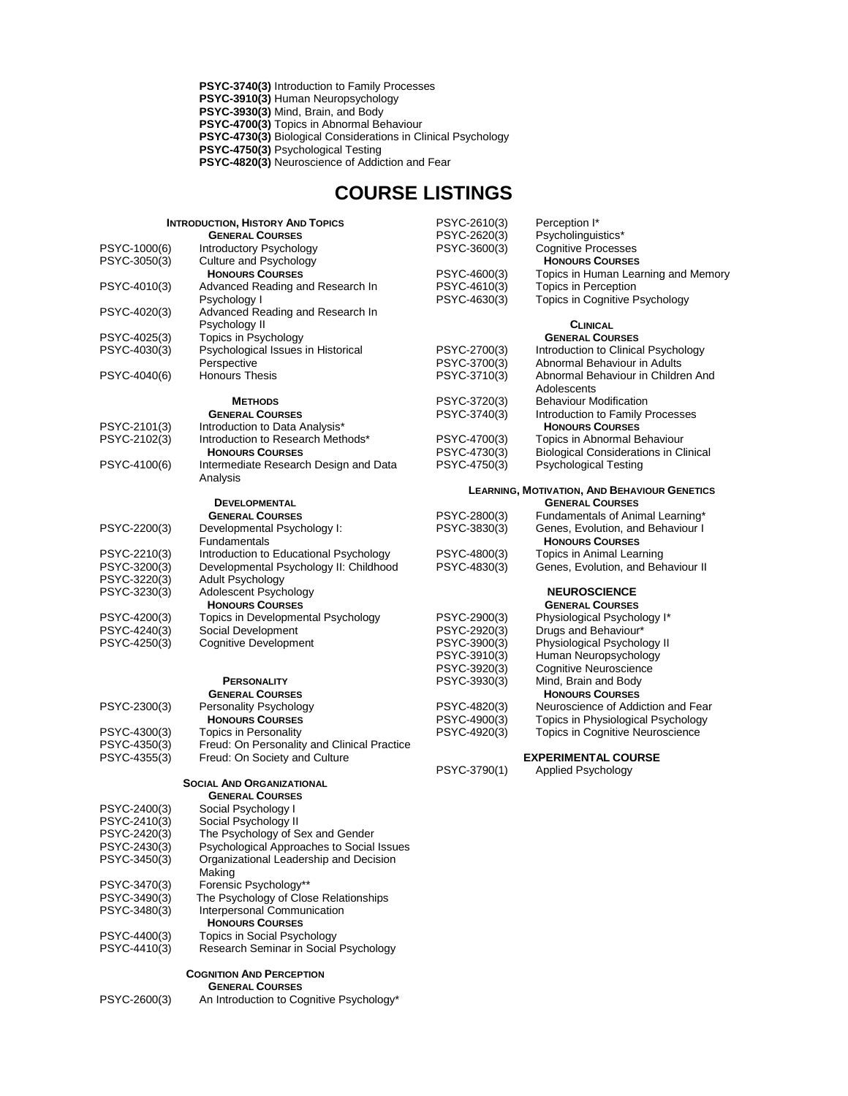**PSYC-3740(3)** Introduction to Family Processes  **PSYC-3910(3)** Human Neuropsychology  **PSYC-3930(3)** Mind, Brain, and Body  **PSYC-4700(3)** Topics in Abnormal Behaviour  **PSYC-4730(3)** Biological Considerations in Clinical Psychology **PSYC-4750(3)** Psychological Testing  **PSYC-4820(3)** Neuroscience of Addiction and Fear

## **COURSE LISTINGS**

| <b>INTRODUCTION, HISTORY AND TOPICS</b><br><b>GENERAL COURSES</b> |                                                                     | PSYC-2610(3)<br>PSYC-2620(3) | Perception I*<br>Psycholinguistics*                        |
|-------------------------------------------------------------------|---------------------------------------------------------------------|------------------------------|------------------------------------------------------------|
| PSYC-1000(6)                                                      | Introductory Psychology                                             | PSYC-3600(3)                 | <b>Cognitive Processes</b>                                 |
| PSYC-3050(3)                                                      | Culture and Psychology                                              |                              | <b>HONOURS COURSES</b>                                     |
|                                                                   | <b>HONOURS COURSES</b>                                              | PSYC-4600(3)                 | Topics in Human Learning and Memory                        |
| PSYC-4010(3)                                                      | Advanced Reading and Research In                                    | PSYC-4610(3)                 | Topics in Perception                                       |
|                                                                   | Psychology I                                                        | PSYC-4630(3)                 | <b>Topics in Cognitive Psychology</b>                      |
| PSYC-4020(3)                                                      | Advanced Reading and Research In                                    |                              |                                                            |
|                                                                   | Psychology II                                                       |                              | <b>CLINICAL</b>                                            |
| PSYC-4025(3)                                                      | Topics in Psychology                                                |                              | <b>GENERAL COURSES</b>                                     |
| PSYC-4030(3)                                                      | Psychological Issues in Historical                                  | PSYC-2700(3)                 | Introduction to Clinical Psychology                        |
|                                                                   | Perspective                                                         | PSYC-3700(3)                 | Abnormal Behaviour in Adults                               |
| PSYC-4040(6)                                                      | <b>Honours Thesis</b>                                               | PSYC-3710(3)                 | Abnormal Behaviour in Children And                         |
|                                                                   |                                                                     |                              | Adolescents                                                |
|                                                                   | <b>METHODS</b>                                                      | PSYC-3720(3)<br>PSYC-3740(3) | <b>Behaviour Modification</b>                              |
| PSYC-2101(3)                                                      | <b>GENERAL COURSES</b>                                              |                              | Introduction to Family Processes<br><b>HONOURS COURSES</b> |
| PSYC-2102(3)                                                      | Introduction to Data Analysis*<br>Introduction to Research Methods* | PSYC-4700(3)                 | Topics in Abnormal Behaviour                               |
|                                                                   | <b>HONOURS COURSES</b>                                              | PSYC-4730(3)                 | <b>Biological Considerations in Clinical</b>               |
| PSYC-4100(6)                                                      | Intermediate Research Design and Data                               | PSYC-4750(3)                 | <b>Psychological Testing</b>                               |
|                                                                   | Analysis                                                            |                              |                                                            |
|                                                                   |                                                                     |                              | <b>LEARNING, MOTIVATION, AND BEHAVIOUR GENETICS</b>        |
|                                                                   | <b>DEVELOPMENTAL</b>                                                |                              | <b>GENERAL COURSES</b>                                     |
|                                                                   | <b>GENERAL COURSES</b>                                              | PSYC-2800(3)                 | Fundamentals of Animal Learning*                           |
| PSYC-2200(3)                                                      | Developmental Psychology I:                                         | PSYC-3830(3)                 | Genes, Evolution, and Behaviour I                          |
|                                                                   | Fundamentals                                                        |                              | <b>HONOURS COURSES</b>                                     |
| PSYC-2210(3)                                                      | Introduction to Educational Psychology                              | PSYC-4800(3)                 | Topics in Animal Learning                                  |
| PSYC-3200(3)                                                      | Developmental Psychology II: Childhood                              | PSYC-4830(3)                 | Genes, Evolution, and Behaviour II                         |
| PSYC-3220(3)                                                      | <b>Adult Psychology</b>                                             |                              |                                                            |
| PSYC-3230(3)                                                      | Adolescent Psychology                                               |                              | <b>NEUROSCIENCE</b>                                        |
|                                                                   | <b>HONOURS COURSES</b>                                              |                              | <b>GENERAL COURSES</b>                                     |
| PSYC-4200(3)                                                      | Topics in Developmental Psychology                                  | PSYC-2900(3)                 | Physiological Psychology I*                                |
| PSYC-4240(3)                                                      | Social Development                                                  | PSYC-2920(3)                 | Drugs and Behaviour*                                       |
| PSYC-4250(3)                                                      | <b>Cognitive Development</b>                                        | PSYC-3900(3)                 | Physiological Psychology II                                |
|                                                                   |                                                                     | PSYC-3910(3)                 | Human Neuropsychology                                      |
|                                                                   |                                                                     | PSYC-3920(3)                 | <b>Cognitive Neuroscience</b>                              |
|                                                                   | PERSONALITY                                                         | PSYC-3930(3)                 | Mind, Brain and Body                                       |
|                                                                   | <b>GENERAL COURSES</b>                                              |                              | <b>HONOURS COURSES</b>                                     |
| PSYC-2300(3)                                                      | Personality Psychology                                              | PSYC-4820(3)                 | Neuroscience of Addiction and Fear                         |
|                                                                   | <b>HONOURS COURSES</b>                                              | PSYC-4900(3)                 | Topics in Physiological Psychology                         |
| PSYC-4300(3)                                                      | <b>Topics in Personality</b>                                        | PSYC-4920(3)                 | Topics in Cognitive Neuroscience                           |
| PSYC-4350(3)                                                      | Freud: On Personality and Clinical Practice                         |                              |                                                            |
| PSYC-4355(3)                                                      | Freud: On Society and Culture                                       | PSYC-3790(1)                 | <b>EXPERIMENTAL COURSE</b>                                 |
|                                                                   | <b>SOCIAL AND ORGANIZATIONAL</b>                                    |                              | Applied Psychology                                         |
|                                                                   | <b>GENERAL COURSES</b>                                              |                              |                                                            |
| PSYC-2400(3)                                                      | Social Psychology I                                                 |                              |                                                            |
| PSYC-2410(3)                                                      | Social Psychology II                                                |                              |                                                            |
| PSYC-2420(3)                                                      | The Psychology of Sex and Gender                                    |                              |                                                            |
| PSYC-2430(3)                                                      | Psychological Approaches to Social Issues                           |                              |                                                            |
| PSYC-3450(3)                                                      | Organizational Leadership and Decision                              |                              |                                                            |
|                                                                   | Making                                                              |                              |                                                            |
| PSYC-3470(3)                                                      | Forensic Psychology**                                               |                              |                                                            |
| PSYC-3490(3)                                                      | The Psychology of Close Relationships                               |                              |                                                            |
| PSYC-3480(3)                                                      | Interpersonal Communication                                         |                              |                                                            |
|                                                                   | <b>HONOURS COURSES</b>                                              |                              |                                                            |
| PSYC-4400(3)                                                      | Topics in Social Psychology                                         |                              |                                                            |
| PSYC-4410(3)                                                      | Research Seminar in Social Psychology                               |                              |                                                            |
|                                                                   |                                                                     |                              |                                                            |
|                                                                   | <b>COGNITION AND PERCEPTION</b>                                     |                              |                                                            |
|                                                                   | <b>GENERAL COURSES</b>                                              |                              |                                                            |

PSYC-2600(3) An Introduction to Cognitive Psychology\*